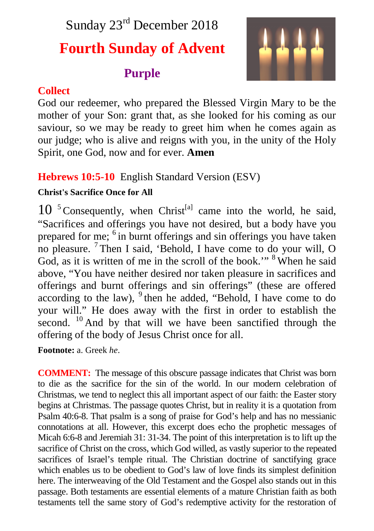## Sunday 23<sup>rd</sup> December 2018

# **Fourth Sunday of Advent**

## **Purple**



### **Collect**

God our redeemer, who prepared the Blessed Virgin Mary to be the mother of your Son: grant that, as she looked for his coming as our saviour, so we may be ready to greet him when he comes again as our judge; who is alive and reigns with you, in the unity of the Holy Spirit, one God, now and for ever. **Amen**

### **Hebrews 10:5-10** English Standard Version (ESV)

#### **Christ's Sacrifice Once for All**

 $10^{-5}$  Consequently, when Christ<sup>[a]</sup> came into the world, he said, "Sacrifices and offerings you have not desired, but a body have you prepared for me; <sup>6</sup> in burnt offerings and sin offerings you have taken no pleasure. <sup>7</sup> Then I said, 'Behold, I have come to do your will, O God, as it is written of me in the scroll of the book."<sup>8</sup> When he said above, "You have neither desired nor taken pleasure in sacrifices and offerings and burnt offerings and sin offerings" (these are offered according to the law),  $9$  then he added, "Behold, I have come to do your will." He does away with the first in order to establish the second. <sup>10</sup> And by that will we have been sanctified through the offering of the body of Jesus Christ once for all.

**Footnote:** a. Greek *he*.

**COMMENT:** The message of this obscure passage indicates that Christ was born to die as the sacrifice for the sin of the world. In our modern celebration of Christmas, we tend to neglect this all important aspect of our faith: the Easter story begins at Christmas. The passage quotes Christ, but in reality it is a quotation from Psalm 40:6-8. That psalm is a song of praise for God's help and has no messianic connotations at all. However, this excerpt does echo the prophetic messages of Micah 6:6-8 and Jeremiah 31: 31-34. The point of this interpretation is to lift up the sacrifice of Christ on the cross, which God willed, as vastly superior to the repeated sacrifices of Israel's temple ritual. The Christian doctrine of sanctifying grace which enables us to be obedient to God's law of love finds its simplest definition here. The interweaving of the Old Testament and the Gospel also stands out in this passage. Both testaments are essential elements of a mature Christian faith as both testaments tell the same story of God's redemptive activity for the restoration of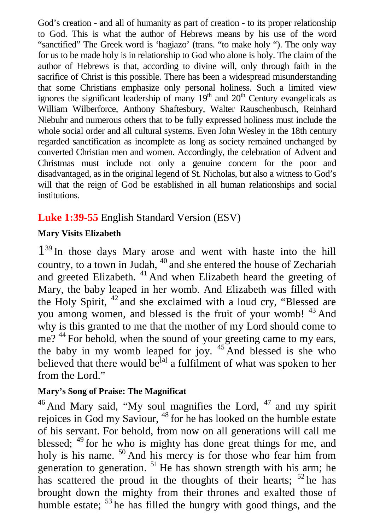God's creation - and all of humanity as part of creation - to its proper relationship to God. This is what the author of Hebrews means by his use of the word "sanctified" The Greek word is 'hagiazo' (trans. "to make holy "). The only way for us to be made holy is in relationship to God who alone is holy. The claim of the author of Hebrews is that, according to divine will, only through faith in the sacrifice of Christ is this possible. There has been a widespread misunderstanding that some Christians emphasize only personal holiness. Such a limited view ignores the significant leadership of many  $19<sup>th</sup>$  and  $20<sup>th</sup>$  Century evangelicals as William Wilberforce, Anthony Shaftesbury, Walter Rauschenbusch, Reinhard Niebuhr and numerous others that to be fully expressed holiness must include the whole social order and all cultural systems. Even John Wesley in the 18th century regarded sanctification as incomplete as long as society remained unchanged by converted Christian men and women. Accordingly, the celebration of Advent and Christmas must include not only a genuine concern for the poor and disadvantaged, as in the original legend of St. Nicholas, but also a witness to God's will that the reign of God be established in all human relationships and social institutions.

#### **Luke 1:39-55** English Standard Version (ESV)

#### **Mary Visits Elizabeth**

1<sup>39</sup> In those days Mary arose and went with haste into the hill country, to a town in Judah, <sup>40</sup> and she entered the house of Zechariah and greeted Elizabeth. <sup>41</sup> And when Elizabeth heard the greeting of Mary, the baby leaped in her womb. And Elizabeth was filled with the Holy Spirit, <sup>42</sup> and she exclaimed with a loud cry, "Blessed are you among women, and blessed is the fruit of your womb! <sup>43</sup> And why is this granted to me that the mother of my Lord should come to me? <sup>44</sup> For behold, when the sound of your greeting came to my ears, the baby in my womb leaped for joy.  $45$  And blessed is she who believed that there would be<sup>[a]</sup> a fulfilment of what was spoken to her from the Lord."

#### **Mary's Song of Praise: The Magnificat**

 $46$  And Mary said, "My soul magnifies the Lord,  $47$  and my spirit rejoices in God my Saviour, <sup>48</sup> for he has looked on the humble estate of his servant. For behold, from now on all generations will call me blessed;  $49$  for he who is mighty has done great things for me, and holy is his name. <sup>50</sup> And his mercy is for those who fear him from generation to generation.  $51$  He has shown strength with his arm; he has scattered the proud in the thoughts of their hearts;  $52$  he has brought down the mighty from their thrones and exalted those of humble estate;  $53$  he has filled the hungry with good things, and the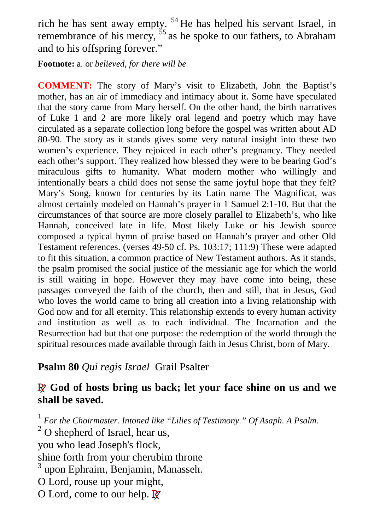rich he has sent away empty. <sup>54</sup> He has helped his servant Israel, in remembrance of his mercy,  $55$  as he spoke to our fathers, to Abraham and to his offspring forever."

**Footnote:** a. or *believed, for there will be*

**COMMENT:** The story of Mary's visit to Elizabeth, John the Baptist's mother, has an air of immediacy and intimacy about it. Some have speculated that the story came from Mary herself. On the other hand, the birth narratives of Luke 1 and 2 are more likely oral legend and poetry which may have circulated as a separate collection long before the gospel was written about AD 80-90. The story as it stands gives some very natural insight into these two women's experience. They rejoiced in each other's pregnancy. They needed each other's support. They realized how blessed they were to be bearing God's miraculous gifts to humanity. What modern mother who willingly and intentionally bears a child does not sense the same joyful hope that they felt? Mary's Song, known for centuries by its Latin name The Magnificat, was almost certainly modeled on Hannah's prayer in 1 Samuel 2:1-10. But that the circumstances of that source are more closely parallel to Elizabeth's, who like Hannah, conceived late in life. Most likely Luke or his Jewish source composed a typical hymn of praise based on Hannah's prayer and other Old Testament references. (verses 49-50 cf. Ps. 103:17; 111:9) These were adapted to fit this situation, a common practice of New Testament authors. As it stands, the psalm promised the social justice of the messianic age for which the world is still waiting in hope. However they may have come into being, these passages conveyed the faith of the church, then and still, that in Jesus, God who loves the world came to bring all creation into a living relationship with God now and for all eternity. This relationship extends to every human activity and institution as well as to each individual. The Incarnation and the Resurrection had but that one purpose: the redemption of the world through the spiritual resources made available through faith in Jesus Christ, born of Mary.

#### **Psalm 80** *Qui regis Israel* Grail Psalter

#### **R God of hosts bring us back; let your face shine on us and we shall be saved.**

<sup>1</sup> For the Choirmaster. Intoned like "Lilies of Testimony." Of Asaph. A Psalm.  $2^2$  O shepherd of Israel, hear us, you who lead Joseph's flock, shine forth from your cherubim throne 3 upon Ephraim, Benjamin, Manasseh. O Lord, rouse up your might, O Lord, come to our help. **R**